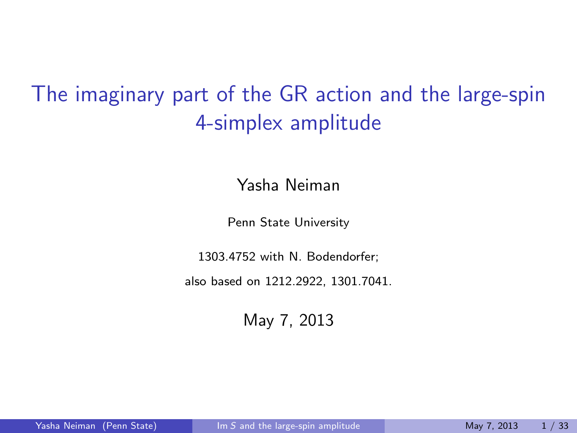## The imaginary part of the GR action and the large-spin 4-simplex amplitude

Yasha Neiman

Penn State University

1303.4752 with N. Bodendorfer;

also based on 1212.2922, 1301.7041.

<span id="page-0-0"></span>May 7, 2013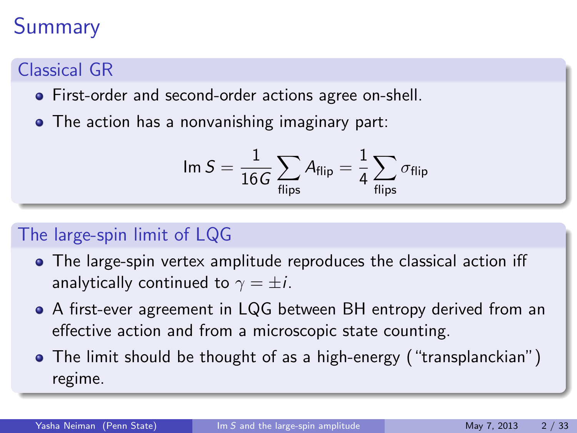## Summary

### Classical GR

- First-order and second-order actions agree on-shell.
- The action has a nonvanishing imaginary part:

$$
\text{Im } S = \frac{1}{16G} \sum_{\text{flips}} A_{\text{flip}} = \frac{1}{4} \sum_{\text{flips}} \sigma_{\text{flip}}
$$

### The large-spin limit of LQG

- The large-spin vertex amplitude reproduces the classical action iff analytically continued to  $\gamma = \pm i$ .
- A first-ever agreement in LQG between BH entropy derived from an effective action and from a microscopic state counting.
- The limit should be thought of as a high-energy ("transplanckian") regime.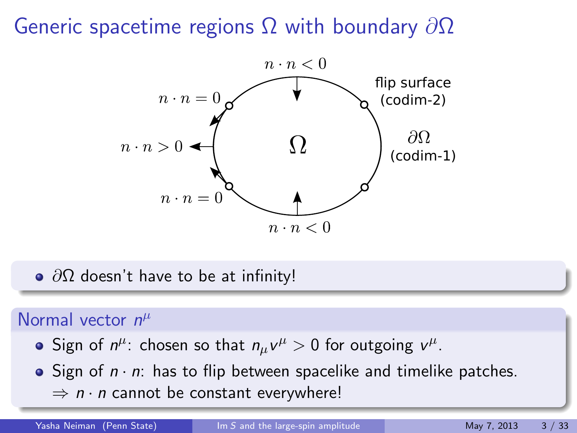## Generic spacetime regions  $\Omega$  with boundary  $\partial\Omega$



 $\bullet$   $\partial\Omega$  doesn't have to be at infinity!

### Normal vector  $n^{\mu}$

- Sign of  $n^{\mu}$ : chosen so that  $n_{\mu}v^{\mu} > 0$  for outgoing  $v^{\mu}$ .
- Sign of  $n \cdot n$ : has to flip between spacelike and timelike patches.  $\Rightarrow$  n  $\cdot$  n cannot be constant everywhere!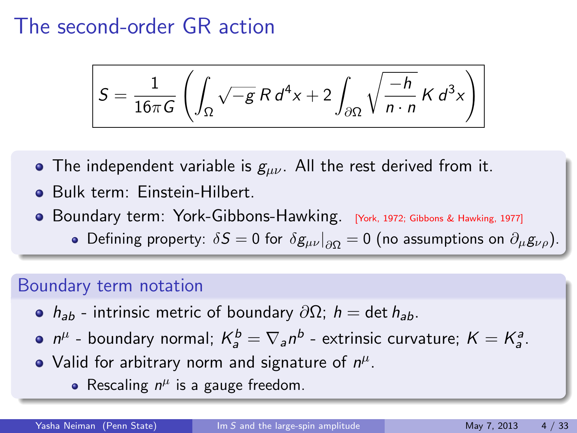## The second-order GR action

$$
S = \frac{1}{16\pi G} \left( \int_{\Omega} \sqrt{-g} R d^4 x + 2 \int_{\partial \Omega} \sqrt{\frac{-h}{n \cdot n}} K d^3 x \right)
$$

- The independent variable is  $g_{\mu\nu}$ . All the rest derived from it.
- Bulk term: Einstein-Hilbert.
- Boundary term: York-Gibbons-Hawking. [York, 1972; Gibbons & Hawking, 1977]
	- Defining property:  $\delta S = 0$  for  $\delta g_{\mu\nu}|_{\partial \Omega} = 0$  (no assumptions on  $\partial_\mu g_{\nu\rho}$ ).

#### Boundary term notation

- $h_{ab}$  intrinsic metric of boundary  $\partial\Omega$ ; h = det h<sub>ab</sub>.
- $n^{\mu}$  boundary normal;  $K_{a}^{b} = \nabla_{a} n^{b}$  extrinsic curvature;  $K = K_{a}^{a}$ .
- Valid for arbitrary norm and signature of  $n^{\mu}$ .
	- Rescaling  $n^{\mu}$  is a gauge freedom.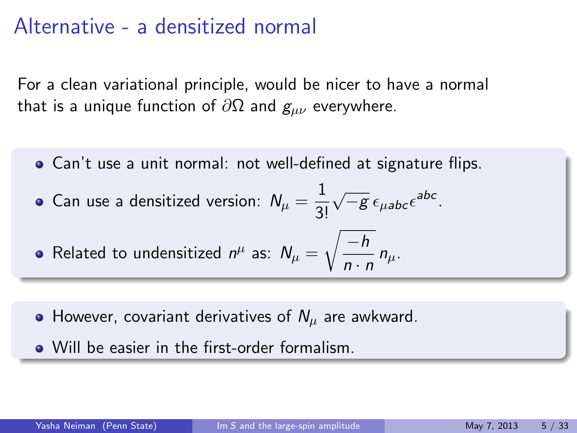## Alternative - a densitized normal

For a clean variational principle, would be nicer to have a normal that is a unique function of  $\partial\Omega$  and  $g_{\mu\nu}$  everywhere.

Can't use a unit normal: not well-defined at signature flips.

• Can use a densitized version: 
$$
N_{\mu} = \frac{1}{3!} \sqrt{-g} \epsilon_{\mu abc} \epsilon^{abc}
$$
.

• Related to understand 
$$
n^{\mu}
$$
 as:  $N_{\mu} = \sqrt{\frac{-h}{n \cdot n}} n_{\mu}$ .

- However, covariant derivatives of  $N_{\mu}$  are awkward.
- Will be easier in the first-order formalism.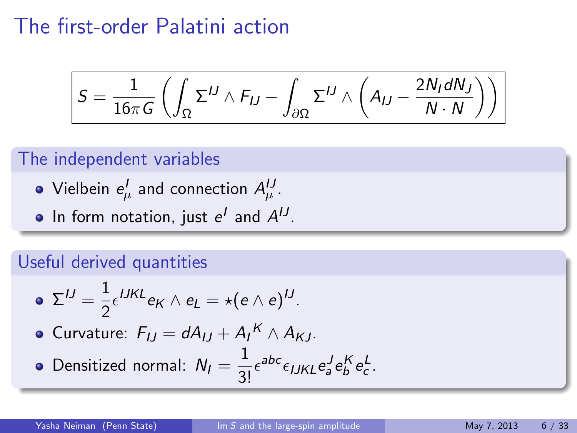## The first-order Palatini action

$$
S = \frac{1}{16\pi G} \left( \int_{\Omega} \Sigma^{IJ} \wedge F_{IJ} - \int_{\partial \Omega} \Sigma^{IJ} \wedge \left( A_{IJ} - \frac{2N_I dN_J}{N \cdot N} \right) \right)
$$

#### The independent variables

- Vielbein  $e^I_\mu$  and connection  $A^{IJ}_\mu.$
- In form notation, just  $e^I$  and  $A^{IJ}$ .

#### Useful derived quantities

\n- \n
$$
\Sigma^{IJ} = \frac{1}{2} \epsilon^{IJKL} e_K \wedge e_L = \star (e \wedge e)^{IJ}.
$$
\n
\n- \n Curvature: \n 
$$
F_{IJ} = dA_{IJ} + A_I^K \wedge A_{KJ}.
$$
\n
\n- \n Densityed normal: \n 
$$
N_I = \frac{1}{3!} \epsilon^{abc} \epsilon_{IJKL} e_a^J e_b^K e_c^L.
$$
\n
\n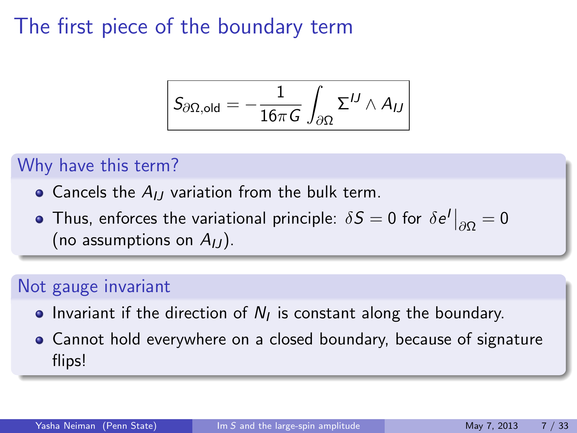## The first piece of the boundary term

$$
\boxed{S_{\partial\Omega, \text{old}} = -\frac{1}{16\pi G} \int_{\partial\Omega} \Sigma^{IJ} \wedge A_{IJ}}
$$

#### Why have this term?

- Cancels the  $A_{IJ}$  variation from the bulk term.
- Thus, enforces the variational principle:  $\delta S = 0$  for  $\delta e^I\big|_{\partial\Omega} = 0$ (no assumptions on  $A_{11}$ ).

#### Not gauge invariant

- Invariant if the direction of  $N_I$  is constant along the boundary.
- Cannot hold everywhere on a closed boundary, because of signature flips!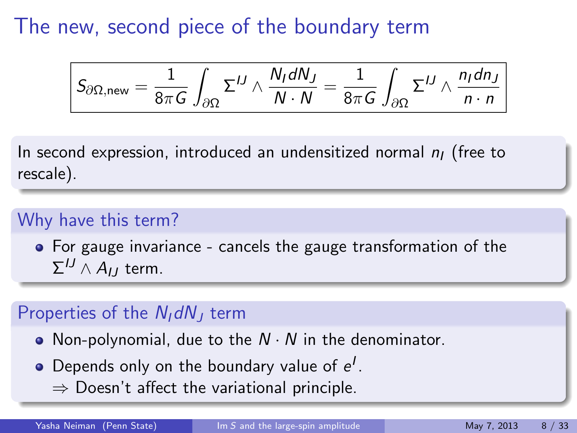The new, second piece of the boundary term

$$
S_{\partial\Omega,\text{new}}=\frac{1}{8\pi G}\int_{\partial\Omega}\Sigma^{IJ}\wedge\frac{N_I dN_J}{N\cdot N}=\frac{1}{8\pi G}\int_{\partial\Omega}\Sigma^{IJ}\wedge\frac{n_I d n_J}{n\cdot n}
$$

In second expression, introduced an undensitized normal  $n_1$  (free to rescale).

#### Why have this term?

For gauge invariance - cancels the gauge transformation of the  $\Sigma^{IJ} \wedge A_{IJ}$  term.

#### Properties of the  $N<sub>I</sub> dN<sub>I</sub>$  term

- Non-polynomial, due to the  $N \cdot N$  in the denominator.
- Depends only on the boundary value of  $e^l$ .
	- $\Rightarrow$  Doesn't affect the variational principle.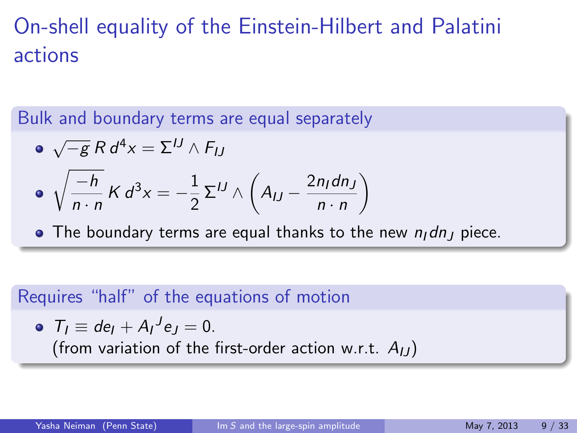## On-shell equality of the Einstein-Hilbert and Palatini actions

Bulk and boundary terms are equal separately

$$
\begin{aligned}\n\bullet \sqrt{-g} \, R \, d^4x &= \Sigma^{IJ} \wedge F_{IJ} \\
\bullet \sqrt{\frac{-h}{n \cdot n}} \, K \, d^3x &= -\frac{1}{2} \, \Sigma^{IJ} \wedge \left( A_{IJ} - \frac{2n_I dn_J}{n \cdot n} \right)\n\end{aligned}
$$

 $\bullet$  The boundary terms are equal thanks to the new  $n_1$  dn<sub>J</sub> piece.

#### Requires "half" of the equations of motion

• 
$$
T_I \equiv de_I + A_I{}^J e_J = 0.
$$
  
(from variation of the first-order action w.r.t.  $A_{IJ}$ )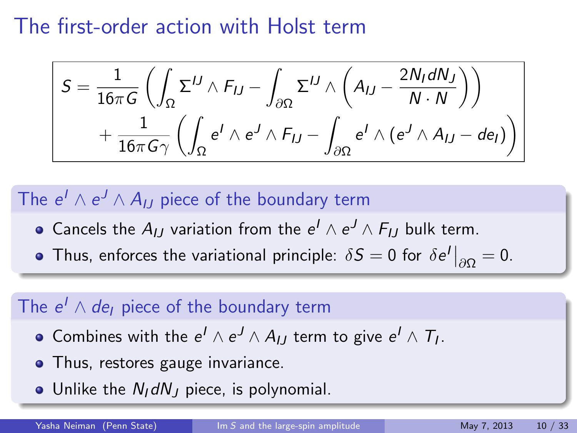The first-order action with Holst term

$$
S = \frac{1}{16\pi G} \left( \int_{\Omega} \Sigma^{IJ} \wedge F_{IJ} - \int_{\partial \Omega} \Sigma^{IJ} \wedge \left( A_{IJ} - \frac{2N_I dN_J}{N \cdot N} \right) \right) + \frac{1}{16\pi G \gamma} \left( \int_{\Omega} e^I \wedge e^J \wedge F_{IJ} - \int_{\partial \Omega} e^I \wedge (e^J \wedge A_{IJ} - de_I) \right)
$$

### The  $e^I \wedge e^J \wedge A_{IJ}$  piece of the boundary term

- Cancels the  $A_{IJ}$  variation from the  $e^I \wedge e^J \wedge F_{IJ}$  bulk term.
- Thus, enforces the variational principle:  $\delta \mathcal{S}=0$  for  $\delta e^I\big|_{\partial\Omega}=0.$

### The  $e^I \wedge de_I$  piece of the boundary term

- Combines with the  $e^I \wedge e^J \wedge A_{IJ}$  term to give  $e^I \wedge T_I.$
- Thus, restores gauge invariance.
- Unlike the  $N_I dN_J$  piece, is polynomial.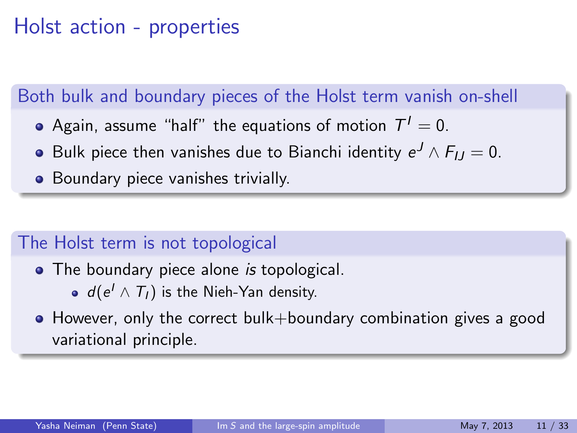## Holst action - properties

#### Both bulk and boundary pieces of the Holst term vanish on-shell

- Again, assume "half" the equations of motion  $\, {\cal T}^I = 0.$
- Bulk piece then vanishes due to Bianchi identity  $e^J\wedge F_{IJ}=0.$
- Boundary piece vanishes trivially.

### The Holst term is not topological

- The boundary piece alone is topological.
	- $d(e^l \wedge T_l)$  is the Nieh-Yan density.
- However, only the correct bulk+boundary combination gives a good variational principle.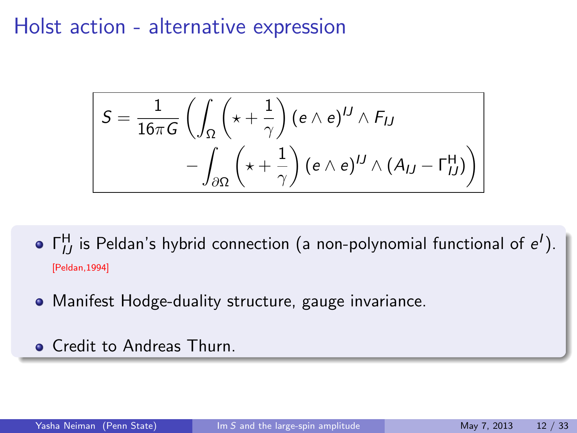### Holst action - alternative expression

$$
S = \frac{1}{16\pi G} \left( \int_{\Omega} \left( \star + \frac{1}{\gamma} \right) (e \wedge e)^{IJ} \wedge F_{IJ} - \int_{\partial \Omega} \left( \star + \frac{1}{\gamma} \right) (e \wedge e)^{IJ} \wedge (A_{IJ} - \Gamma_{IJ}^{\mathsf{H}}) \right)
$$

- $\Gamma^{\text{H}}_{IJ}$  is Peldan's hybrid connection (a non-polynomial functional of  $e^I$ ). [Peldan,1994]
- Manifest Hodge-duality structure, gauge invariance.
- **Credit to Andreas Thurn.**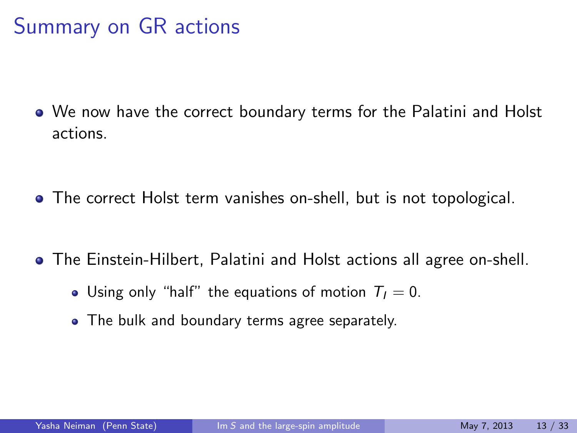## Summary on GR actions

We now have the correct boundary terms for the Palatini and Holst actions.

- The correct Holst term vanishes on-shell, but is not topological.
- The Einstein-Hilbert, Palatini and Holst actions all agree on-shell.
	- Using only "half" the equations of motion  $T_1 = 0$ .
	- The bulk and boundary terms agree separately.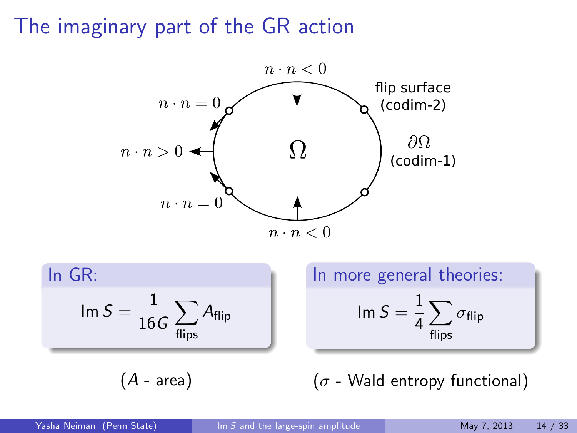The imaginary part of the GR action



In GR:  
\n
$$
\operatorname{Im} S = \frac{1}{16G} \sum_{\text{flips}} A_{\text{flip}}
$$

 $(A - area)$ 

In more general theories: Im  $S=\frac{1}{4}$ 4  $\sum$ flips  $\sigma_{\textsf{flip}}$ 

 $(\sigma$  - Wald entropy functional)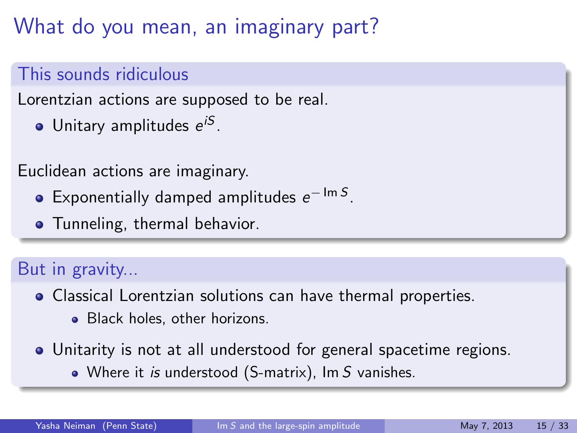## What do you mean, an imaginary part?

### This sounds ridiculous

Lorentzian actions are supposed to be real.

Unitary amplitudes e<sup>iS</sup>.

Euclidean actions are imaginary.

- Exponentially damped amplitudes  $e^{-\operatorname{Im} S}$ .
- **•** Tunneling, thermal behavior.

### But in gravity...

Classical Lorentzian solutions can have thermal properties.

- Black holes, other horizons.
- Unitarity is not at all understood for general spacetime regions.
	- Where it is understood (S-matrix), Im S vanishes.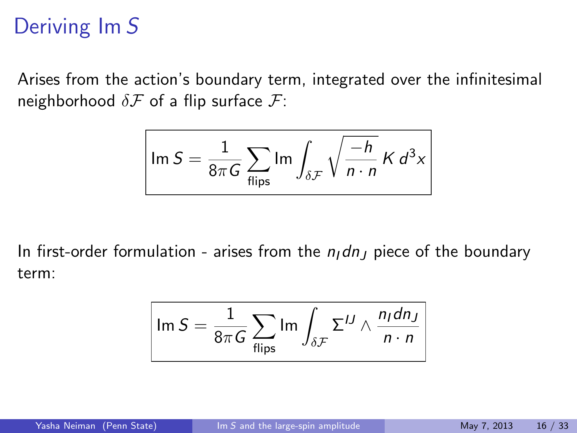## Deriving Im S

Arises from the action's boundary term, integrated over the infinitesimal neighborhood  $\delta \mathcal{F}$  of a flip surface  $\mathcal{F}$ :

$$
\ln S = \frac{1}{8\pi G} \sum_{\text{flips}} \ln \int_{\delta \mathcal{F}} \sqrt{\frac{-h}{n \cdot n}} K d^3 x
$$

In first-order formulation - arises from the  $n_1$  dn<sub>J</sub> piece of the boundary term:

$$
\boxed{\text{Im }S = \frac{1}{8\pi G}\sum_{\text{flips}}\text{Im}\int_{\delta\mathcal{F}}\Sigma^{IJ}\wedge\frac{n_Idn_J}{n\cdot n}}
$$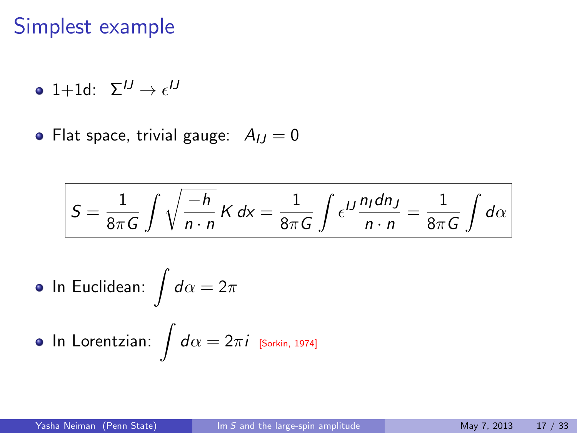### Simplest example

1+1d:  $\Sigma^{IJ} \rightarrow \epsilon^{IJ}$ 

• Flat space, trivial gauge:  $A_{IJ} = 0$ 

$$
S = \frac{1}{8\pi G} \int \sqrt{\frac{-h}{n \cdot n}} K dx = \frac{1}{8\pi G} \int \epsilon^{IJ} \frac{n_I dn_J}{n \cdot n} = \frac{1}{8\pi G} \int d\alpha
$$

• In Euclidean: 
$$
\int d\alpha = 2\pi
$$

$$
\bullet\ \mathsf{In}\ \mathsf{Lorentzian}\colon\int d\alpha=2\pi i\,\,\mathsf{Sorkin},\,\mathsf{1974}]
$$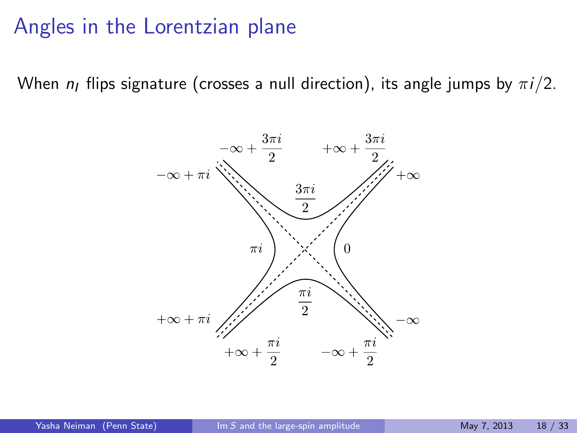### Angles in the Lorentzian plane

When  $n_1$  flips signature (crosses a null direction), its angle jumps by  $\pi i/2$ .

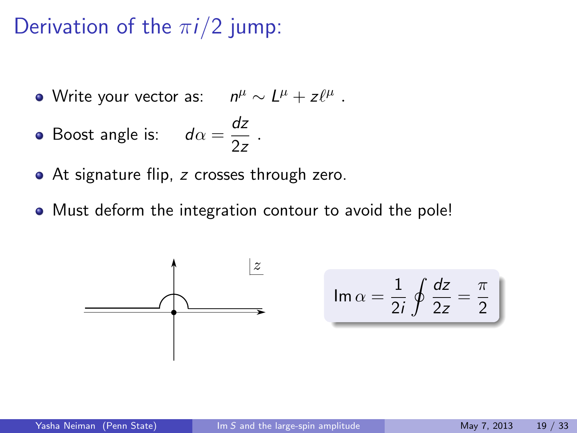## Derivation of the  $\pi i/2$  jump:

- Write your vector as:  $n^{\mu} \sim L^{\mu} + z \ell^{\mu}$  .
- Boost angle is:  $d\alpha = \frac{dz}{2}$  $rac{1}{2z}$ .
- At signature flip, z crosses through zero.
- Must deform the integration contour to avoid the pole!

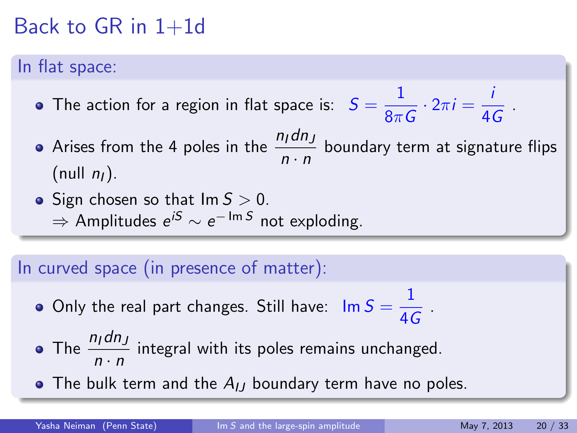## Back to GR in  $1+1d$

#### In flat space:

- The action for a region in flat space is:  $S = \frac{1}{2}$  $\frac{1}{8\pi G}\cdot 2\pi i=\frac{i}{4\pi i}$  $\frac{1}{4G}$ .
- Arises from the 4 poles in the  $\frac{n_1dn_J}{n\cdot n}$  boundary term at signature flips (null  $n_I$ ).
- Sign chosen so that  $Im S > 0$ .  $\Rightarrow$  Amplitudes  $e^{iS} \sim e^{-\operatorname{Im} S}$  not exploding.

#### In curved space (in presence of matter):

- Only the real part changes. Still have:  $\mathsf{Im}\, S = \frac{1}{\sqrt{2\pi}}$  $\frac{1}{4G}$ .
- The  $\frac{n_1dn_J}{n \cdot n}$  integral with its poles remains unchanged.
- The bulk term and the  $A_{IJ}$  boundary term have no poles.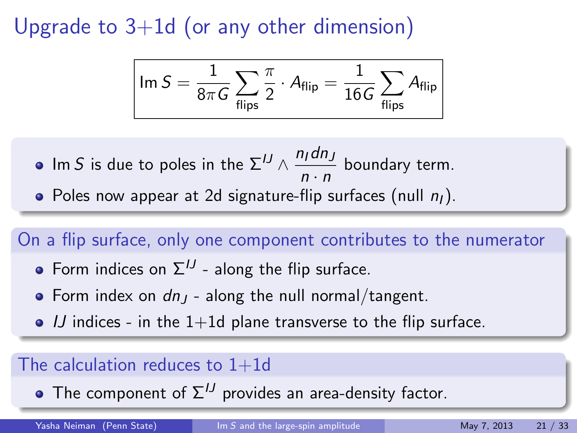Upgrade to  $3+1d$  (or any other dimension)

$$
\boxed{\mathsf{Im}\, \mathsf{S} = \frac{1}{8\pi\mathsf{G}}\sum_{\mathsf{flips}}\frac{\pi}{2}\cdot\mathsf{A}_{\mathsf{flip}} = \frac{1}{16\mathsf{G}}\sum_{\mathsf{flips}}\mathsf{A}_{\mathsf{flip}}}
$$

Im  $S$  is due to poles in the  $\Sigma^{IJ} \wedge \frac{n_I d n_J}{J}$  $\frac{n(n-1)}{n \cdot n}$  boundary term. • Poles now appear at 2d signature-flip surfaces (null  $n_1$ ).

#### On a flip surface, only one component contributes to the numerator

- Form indices on  $\Sigma^{IJ}$  along the flip surface.
- Form index on  $dn_1$  along the null normal/tangent.
- $\bullet$  IJ indices in the 1+1d plane transverse to the flip surface.

#### The calculation reduces to  $1+1d$

• The component of  $\Sigma^{IJ}$  provides an area-density factor.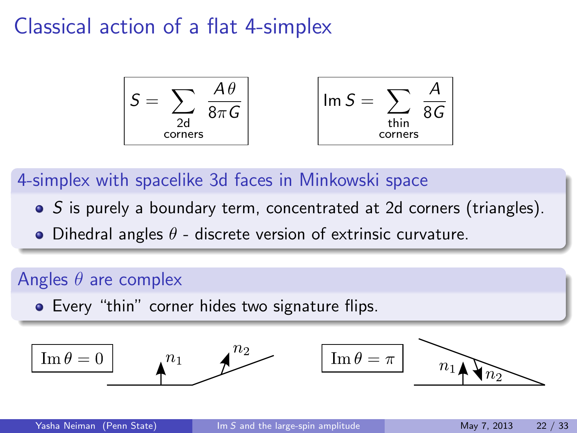### Classical action of a flat 4-simplex

$$
S = \sum_{\substack{2d \text{ corners}}} \frac{A\theta}{8\pi G}
$$
  $Im S = \sum_{\substack{\text{thin} \text{ corners}}} \frac{A}{8G}$ 

4-simplex with spacelike 3d faces in Minkowski space

- S is purely a boundary term, concentrated at 2d corners (triangles).
- Dihedral angles  $\theta$  discrete version of extrinsic curvature.

#### Angles  $\theta$  are complex

**•** Every "thin" corner hides two signature flips.

$$
\boxed{\text{Im } \theta = 0 \qquad \qquad } n_1 \qquad \qquad } n_2 \qquad \qquad \boxed{\text{Im } \theta = \pi \qquad \qquad } n_1 \qquad \qquad } n_2 \qquad \qquad
$$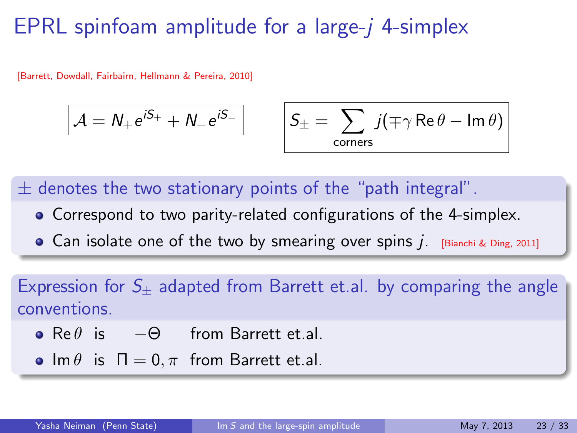## EPRL spinfoam amplitude for a large- $i$  4-simplex

[Barrett, Dowdall, Fairbairn, Hellmann & Pereira, 2010]

$$
\mathcal{A} = N_+ e^{iS_+} + N_- e^{iS_-}
$$

$$
\boxed{\phantom{a}\mathcal{S}_\pm=\sum_{\text{corners}}j(\mp\gamma\mathop{\rm Re}\nolimits\theta-\mathop{\rm Im}\nolimits\theta)}
$$

 $\pm$  denotes the two stationary points of the "path integral".

- Correspond to two parity-related configurations of the 4-simplex.
- Can isolate one of the two by smearing over spins  $j$ . [Bianchi & Ding, 2011]

Expression for  $S_{+}$  adapted from Barrett et.al. by comparing the angle conventions.

- $Re \theta$  is  $-\Theta$  from Barrett et.al.
- Im  $\theta$  is  $\Pi = 0, \pi$  from Barrett et.al.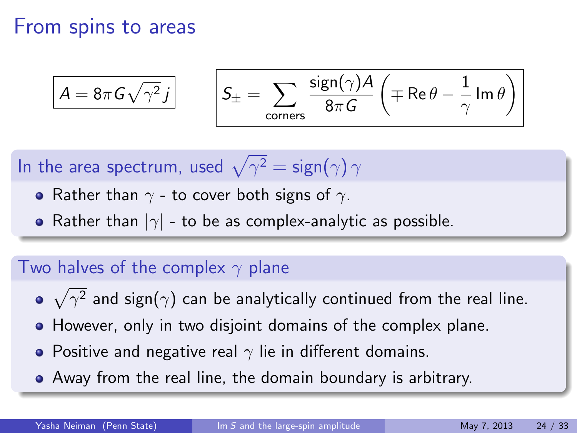### From spins to areas

$$
\boxed{A = 8\pi G \sqrt{\gamma^2} j} \qquad \left| S_{\pm} = \sum_{\text{corners}} \frac{\text{sign}(\gamma) A}{8\pi G} \left( \mp \text{Re}\,\theta - \frac{1}{\gamma} \,\text{Im}\,\theta \right) \right|
$$

In the area spectrum, used  $\sqrt{\gamma^2}=\mathsf{sign}(\gamma)\, \gamma$ 

- Rather than  $\gamma$  to cover both signs of  $\gamma$ .
- Rather than  $|\gamma|$  to be as complex-analytic as possible.

#### Two halves of the complex  $\gamma$  plane

- $\sqrt{\gamma^2}$  and sign $(\gamma)$  can be analytically continued from the real line.
- However, only in two disjoint domains of the complex plane.
- Positive and negative real  $\gamma$  lie in different domains.
- Away from the real line, the domain boundary is arbitrary.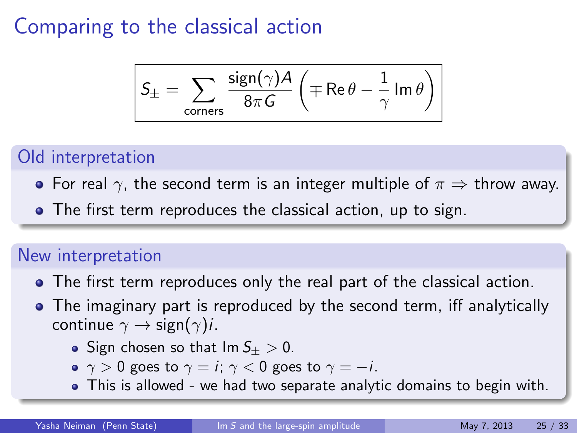## Comparing to the classical action

$$
\boxed{S_{\pm} = \sum_{\text{corners}} \frac{\text{sign}(\gamma) A}{8 \pi G} \left(\mp \text{Re} \,\theta - \frac{1}{\gamma} \, \text{Im} \, \theta \right)}
$$

### Old interpretation

- For real  $\gamma$ , the second term is an integer multiple of  $\pi \Rightarrow$  throw away.
- The first term reproduces the classical action, up to sign.

#### New interpretation

- The first term reproduces only the real part of the classical action.
- The imaginary part is reproduced by the second term, iff analytically continue  $\gamma \rightarrow$  sign $(\gamma)i$ .
	- Sign chosen so that  $Im S_{+} > 0$ .
	- $\gamma > 0$  goes to  $\gamma = i$ ;  $\gamma < 0$  goes to  $\gamma = -i$ .
	- This is allowed we had two separate analytic domains to begin with.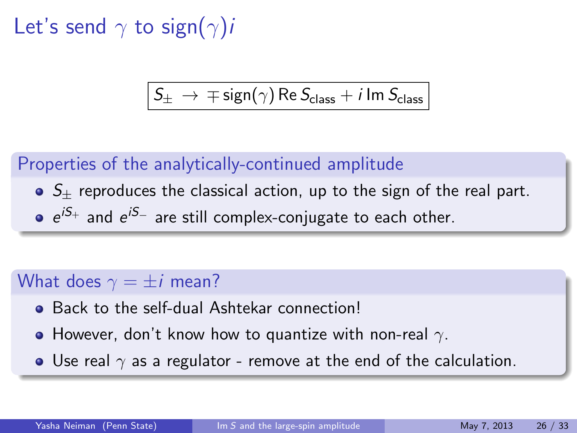Let's send  $\gamma$  to sign( $\gamma$ )*i* 

$$
S_{\pm}\,\rightarrow\,\mp\,{\rm sign}(\gamma)\,{\rm Re}\,S_{\rm class}+i\,{\rm Im}\,S_{\rm class}
$$

#### Properties of the analytically-continued amplitude

- $\bullet$  S<sub>+</sub> reproduces the classical action, up to the sign of the real part.
- $e^{iS_+}$  and  $e^{iS_-}$  are still complex-conjugate to each other.

#### What does  $\gamma = \pm i$  mean?

- **Back to the self-dual Ashtekar connection!**
- However, don't know how to quantize with non-real  $\gamma$ .
- Use real  $\gamma$  as a regulator remove at the end of the calculation.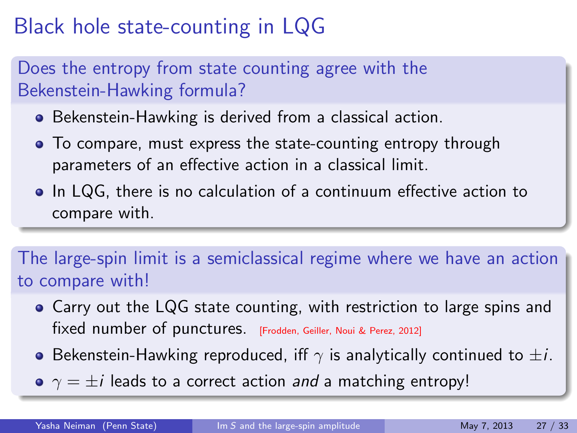## Black hole state-counting in LQG

### Does the entropy from state counting agree with the Bekenstein-Hawking formula?

- Bekenstein-Hawking is derived from a classical action.
- To compare, must express the state-counting entropy through parameters of an effective action in a classical limit.
- In LQG, there is no calculation of a continuum effective action to compare with.

The large-spin limit is a semiclassical regime where we have an action to compare with!

- Carry out the LQG state counting, with restriction to large spins and fixed number of punctures. [Frodden, Geiller, Noui & Perez, 2012]
- **•** Bekenstein-Hawking reproduced, iff  $\gamma$  is analytically continued to  $\pm i$ .
- $\gamma = \pm i$  leads to a correct action and a matching entropy!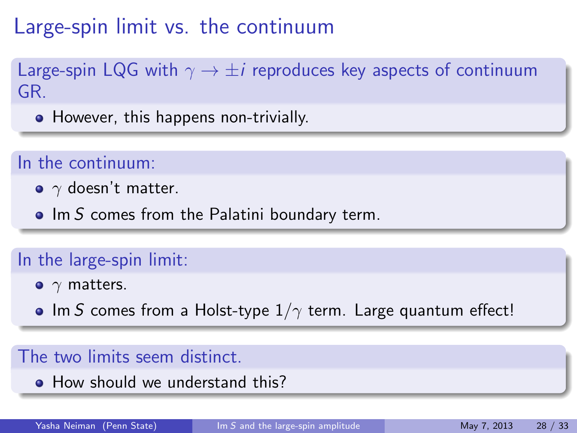## Large-spin limit vs. the continuum

Large-spin LQG with  $\gamma \rightarrow \pm i$  reproduces key aspects of continuum GR.

• However, this happens non-trivially.

#### In the continuum:

- $\gamma$  doesn't matter.
- $\bullet$  Im S comes from the Palatini boundary term.

### In the large-spin limit:

- $\bullet$   $\gamma$  matters.
- Im S comes from a Holst-type  $1/\gamma$  term. Large quantum effect!

#### The two limits seem distinct.

• How should we understand this?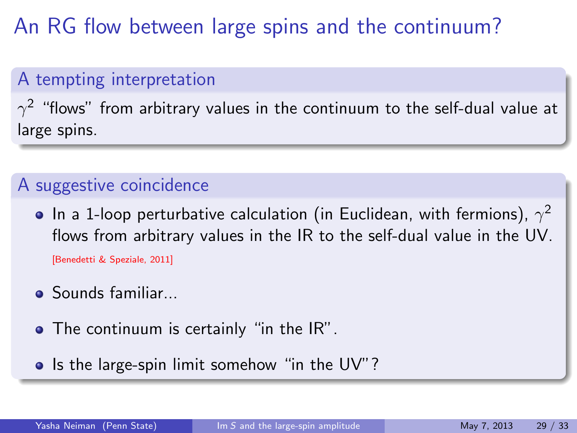## An RG flow between large spins and the continuum?

### A tempting interpretation

 $\gamma^2$  "flows" from arbitrary values in the continuum to the self-dual value at large spins.

### A suggestive coincidence

- In a 1-loop perturbative calculation (in Euclidean, with fermions),  $\gamma^2$ flows from arbitrary values in the IR to the self-dual value in the UV. [Benedetti & Speziale, 2011]
- Sounds familiar...
- The continuum is certainly "in the IR".
- Is the large-spin limit somehow "in the UV"?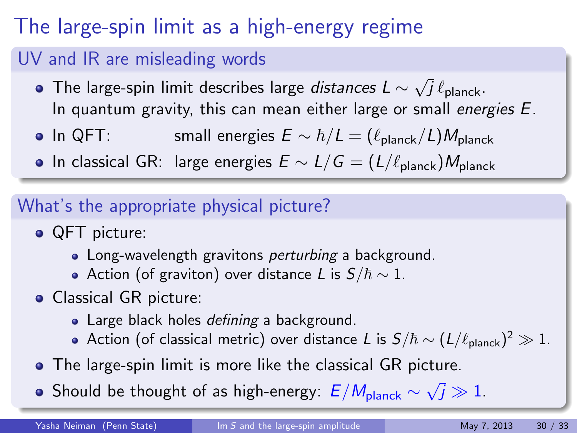## The large-spin limit as a high-energy regime

### UV and IR are misleading words

- The large-spin limit describes large *distances L*  $\sim$ √  $j\,\ell_\mathsf{planck}.$ In quantum gravity, this can mean either large or small energies E.
- In QFT: small energies  $E \sim \hbar/L = (\ell_{\text{planet}}/L)M_{\text{planet}}$
- $\bullet$  In classical GR: large energies  $E \sim L/G = (L/\ell_{\text{planet}})M_{\text{planet}}$

### What's the appropriate physical picture?

- QFT picture:
	- Long-wavelength gravitons *perturbing* a background.
	- Action (of graviton) over distance L is  $S/\hbar \sim 1$ .
- Classical GR picture:
	- Large black holes defining a background.
	- Action (of classical metric) over distance L is  $S/\hbar \sim (L/\ell_{\sf planck})^2 \gg 1.$
- The large-spin limit is more like the classical GR picture.
- Should be thought of as high-energy:  $E/M_{\rm planet} \sim$ √  $\bar{j}\gg 1$  .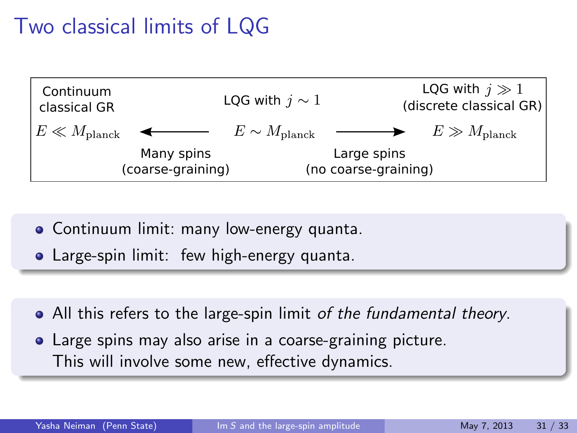## Two classical limits of LQG



- Continuum limit: many low-energy quanta.
- Large-spin limit: few high-energy quanta.
- All this refers to the large-spin limit of the fundamental theory.
- Large spins may also arise in a coarse-graining picture. This will involve some new, effective dynamics.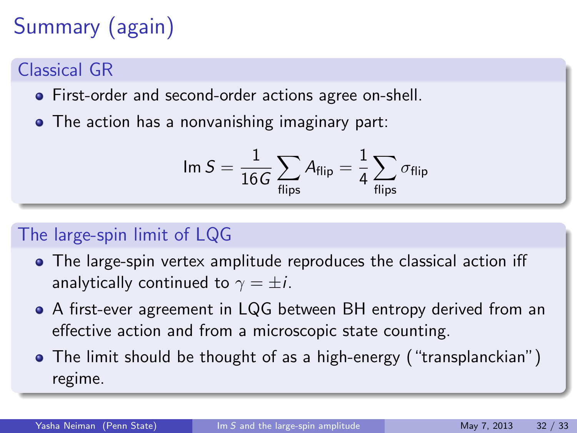# Summary (again)

### Classical GR

- First-order and second-order actions agree on-shell.
- The action has a nonvanishing imaginary part:

$$
\text{Im } S = \frac{1}{16G} \sum_{\text{flips}} A_{\text{flip}} = \frac{1}{4} \sum_{\text{flips}} \sigma_{\text{flip}}
$$

### The large-spin limit of LQG

- The large-spin vertex amplitude reproduces the classical action iff analytically continued to  $\gamma = \pm i$ .
- A first-ever agreement in LQG between BH entropy derived from an effective action and from a microscopic state counting.
- The limit should be thought of as a high-energy ("transplanckian") regime.